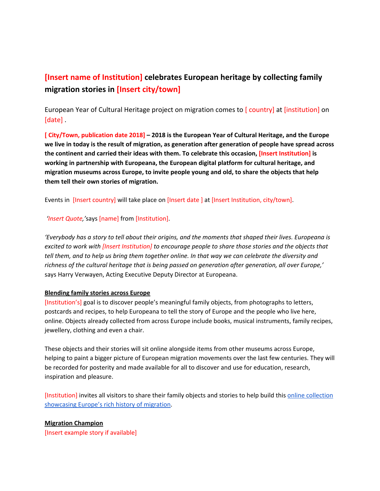# **[Insert name of Institution] celebrates European heritage by collecting family migration stories in [Insert city/town]**

European Year of Cultural Heritage project on migration comes to [ country] at [institution] on [date] .

**[ City/Town, publication date 2018] – 2018 is the European Year of Cultural Heritage, and the Europe** we live in today is the result of migration, as generation after generation of people have spread across **the continent and carried their ideas with them. To celebrate this occasion, [Insert Institution] is working in partnership with Europeana, the European digital platform for cultural heritage, and migration museums across Europe, to invite people young and old, to share the objects that help them tell their own stories of migration.**

Events in [Insert country] will take place on [Insert date ] at [Insert Institution, city/town].

*'Insert Quote,'*says [name] from [Institution].

'Everybody has a story to tell about their origins, and the moments that shaped their lives. Europeana is *excited to work with [Insert Institution] to encourage people to share those stories and the objects that* tell them, and to help us bring them together online. In that way we can celebrate the diversity and *richness of the cultural heritage that is being passed on generation after generation, all over Europe,'* says Harry Verwayen, Acting Executive Deputy Director at Europeana.

#### **Blending family stories across Europe**

[Institution's] goal is to discover people's meaningful family objects, from photographs to letters, postcards and recipes, to help Europeana to tell the story of Europe and the people who live here, online. Objects already collected from across Europe include books, musical instruments, family recipes, jewellery, clothing and even a chair.

These objects and their stories will sit online alongside items from other museums across Europe, helping to paint a bigger picture of European migration movements over the last few centuries. They will be recorded for posterity and made available for all to discover and use for education, research, inspiration and pleasure.

[Institution] invites all visitors to share their family objects and stories to help build this online [collection](https://www.europeana.eu/portal/en/collections/migration) [showcasing](https://www.europeana.eu/portal/en/collections/migration) Europe's rich history of migration.

#### **Migration Champion**

[Insert example story if available]